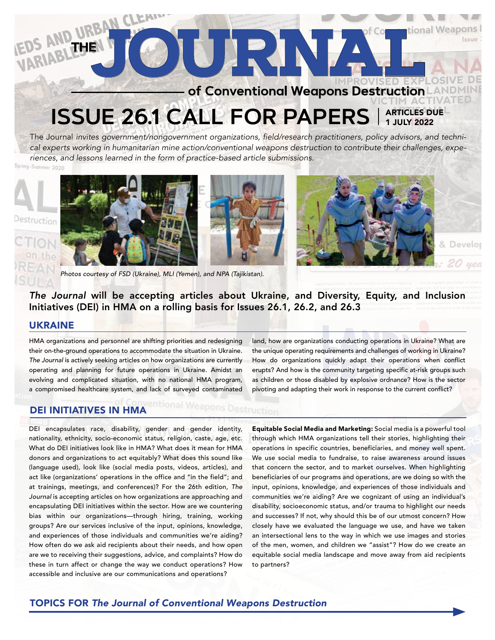# **of Conventional Weapons Destruction TEDS AND URBAN CLEATH**

# **ISSUE 26.1 CALL FOR PAPERS** ARTICLES DUE 1 JULY 2022

The Journal *invites government/nongovernment organizations, field/research practitioners, policy advisors, and technical experts working in humanitarian mine action/conventional weapons destruction to contribute their challenges, experiences, and lessons learned in the form of practice-based article submissions.*

mer 2026





*Photos courtesy of FSD (Ukraine), MLI (Yemen), and NPA (Tajikistan).*



& Devel

*The Journal* will be accepting articles about Ukraine, and Diversity, Equity, and Inclusion Initiatives (DEI) in HMA on a rolling basis for Issues 26.1, 26.2, and 26.3

## UKRAINE

HMA organizations and personnel are shifting priorities and redesigning their on-the-ground operations to accommodate the situation in Ukraine. *The Journal* is actively seeking articles on how organizations are currently operating and planning for future operations in Ukraine. Amidst an evolving and complicated situation, with no national HMA program, a compromised healthcare system, and lack of surveyed contaminated

land, how are organizations conducting operations in Ukraine? What are the unique operating requirements and challenges of working in Ukraine? How do organizations quickly adapt their operations when conflict erupts? And how is the community targeting specific at-risk groups such as children or those disabled by explosive ordnance? How is the sector pivoting and adapting their work in response to the current conflict?

# DEI INITIATIVES IN HMA

DEI encapsulates race, disability, gender and gender identity, nationality, ethnicity, socio-economic status, religion, caste, age, etc. What do DEI initiatives look like in HMA? What does it mean for HMA donors and organizations to act equitably? What does this sound like (language used), look like (social media posts, videos, articles), and act like (organizations' operations in the office and "in the field"; and at trainings, meetings, and conferences)? For the 26th edition, *The Journal* is accepting articles on how organizations are approaching and encapsulating DEI initiatives within the sector. How are we countering bias within our organizations—through hiring, training, working groups? Are our services inclusive of the input, opinions, knowledge, and experiences of those individuals and communities we're aiding? How often do we ask aid recipients about their needs, and how open are we to receiving their suggestions, advice, and complaints? How do these in turn affect or change the way we conduct operations? How accessible and inclusive are our communications and operations?

Equitable Social Media and Marketing: Social media is a powerful tool through which HMA organizations tell their stories, highlighting their operations in specific countries, beneficiaries, and money well spent. We use social media to fundraise, to raise awareness around issues that concern the sector, and to market ourselves. When highlighting beneficiaries of our programs and operations, are we doing so with the input, opinions, knowledge, and experiences of those individuals and communities we're aiding? Are we cognizant of using an individual's disability, socioeconomic status, and/or trauma to highlight our needs and successes? If not, why should this be of our utmost concern? How closely have we evaluated the language we use, and have we taken an intersectional lens to the way in which we use images and stories of the men, women, and children we "assist"? How do we create an equitable social media landscape and move away from aid recipients to partners?

# TOPICS FOR *The Journal of Conventional Weapons Destruction*